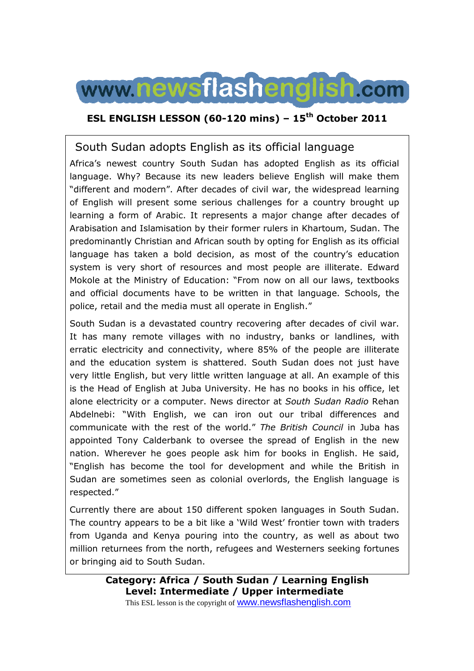

### **ESL ENGLISH LESSON (60-120 mins) – 15th October 2011**

### South Sudan adopts English as its official language

Africa's newest country South Sudan has adopted English as its official language. Why? Because its new leaders believe English will make them "different and modern". After decades of civil war, the widespread learning of English will present some serious challenges for a country brought up learning a form of Arabic. It represents a major change after decades of Arabisation and Islamisation by their former rulers in Khartoum, Sudan. The predominantly Christian and African south by opting for English as its official language has taken a bold decision, as most of the country's education system is very short of resources and most people are illiterate. Edward Mokole at the Ministry of Education: "From now on all our laws, textbooks and official documents have to be written in that language. Schools, the police, retail and the media must all operate in English."

South Sudan is a devastated country recovering after decades of civil war. It has many remote villages with no industry, banks or landlines, with erratic electricity and connectivity, where 85% of the people are illiterate and the education system is shattered. South Sudan does not just have very little English, but very little written language at all. An example of this is the Head of English at Juba University. He has no books in his office, let alone electricity or a computer. News director at *South Sudan Radio* Rehan Abdelnebi: "With English, we can iron out our tribal differences and communicate with the rest of the world." *The British Council* in Juba has appointed Tony Calderbank to oversee the spread of English in the new nation. Wherever he goes people ask him for books in English. He said, "English has become the tool for development and while the British in Sudan are sometimes seen as colonial overlords, the English language is respected."

Currently there are about 150 different spoken languages in South Sudan. The country appears to be a bit like a 'Wild West' frontier town with traders from Uganda and Kenya pouring into the country, as well as about two million returnees from the north, refugees and Westerners seeking fortunes or bringing aid to South Sudan.

> **Category: Africa / South Sudan / Learning English Level: Intermediate / Upper intermediate** This ESL lesson is the copyright of **WWW.newsflashenglish.com**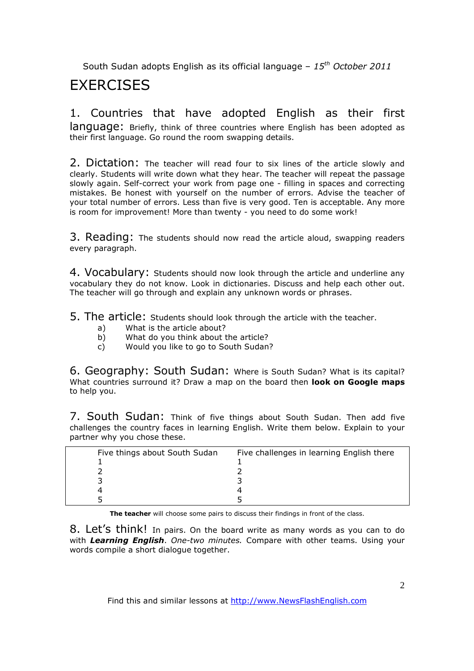# **EXERCISES**

### 1. Countries that have adopted English as their first language: Briefly, think of three countries where English has been adopted as their first language. Go round the room swapping details.

2. Dictation: The teacher will read four to six lines of the article slowly and clearly. Students will write down what they hear. The teacher will repeat the passage slowly again. Self-correct your work from page one - filling in spaces and correcting mistakes. Be honest with yourself on the number of errors. Advise the teacher of your total number of errors. Less than five is very good. Ten is acceptable. Any more is room for improvement! More than twenty - you need to do some work!

3. Reading: The students should now read the article aloud, swapping readers every paragraph.

4. Vocabulary: Students should now look through the article and underline any vocabulary they do not know. Look in dictionaries. Discuss and help each other out. The teacher will go through and explain any unknown words or phrases.

5. The article: Students should look through the article with the teacher.

- a) What is the article about?
- b) What do you think about the article?
- c) Would you like to go to South Sudan?

6. Geography: South Sudan: Where is South Sudan? What is its capital? What countries surround it? Draw a map on the board then **look on Google maps** to help you.

7. South Sudan: Think of five things about South Sudan. Then add five challenges the country faces in learning English. Write them below. Explain to your partner why you chose these.

| Five things about South Sudan | Five challenges in learning English there |
|-------------------------------|-------------------------------------------|
|                               |                                           |
|                               |                                           |
|                               |                                           |
|                               |                                           |
|                               |                                           |

**The teacher** will choose some pairs to discuss their findings in front of the class.

8. Let's think! In pairs. On the board write as many words as you can to do with *Learning English*. *One-two minutes.* Compare with other teams. Using your words compile a short dialogue together.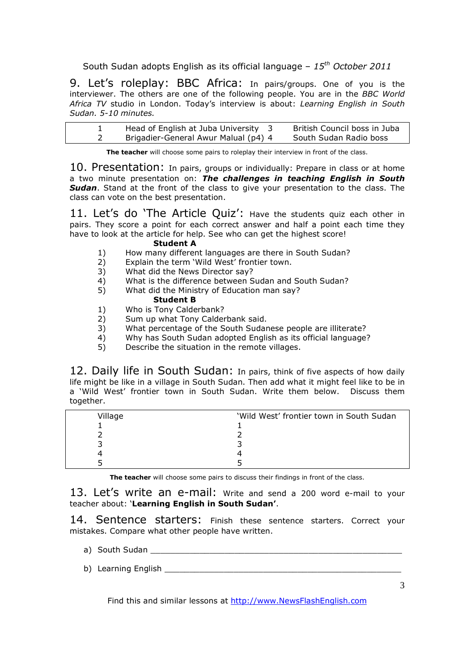9. Let's roleplay: BBC Africa: In pairs/groups. One of you is the interviewer. The others are one of the following people. You are in the *BBC World Africa TV* studio in London. Today's interview is about: *Learning English in South Sudan. 5-10 minutes.* 

| Head of English at Juba University 3 | British Council boss in Juba |
|--------------------------------------|------------------------------|
| Brigadier-General Awur Malual (p4) 4 | South Sudan Radio boss       |

**The teacher** will choose some pairs to roleplay their interview in front of the class.

10. Presentation: In pairs, groups or individually: Prepare in class or at home a two minute presentation on: *The challenges in teaching English in South Sudan*. Stand at the front of the class to give your presentation to the class. The class can vote on the best presentation.

11. Let's do 'The Article Quiz': Have the students quiz each other in pairs. They score a point for each correct answer and half a point each time they have to look at the article for help. See who can get the highest score!

#### **Student A**

- 1) How many different languages are there in South Sudan?
- 2) Explain the term 'Wild West' frontier town.
- 3) What did the News Director say?
- 4) What is the difference between Sudan and South Sudan?
- 5) What did the Ministry of Education man say? **Student B**
- 1) Who is Tony Calderbank?
- 2) Sum up what Tony Calderbank said.
- 3) What percentage of the South Sudanese people are illiterate?
- 4) Why has South Sudan adopted English as its official language?
- 5) Describe the situation in the remote villages.

12. Daily life in South Sudan: In pairs, think of five aspects of how daily life might be like in a village in South Sudan. Then add what it might feel like to be in a 'Wild West' frontier town in South Sudan. Write them below. Discuss them together.

| Village | 'Wild West' frontier town in South Sudan |
|---------|------------------------------------------|
|         |                                          |
|         |                                          |
|         |                                          |
|         |                                          |
|         |                                          |

**The teacher** will choose some pairs to discuss their findings in front of the class.

13. Let's write an e-mail: Write and send a 200 word e-mail to your teacher about: '**Learning English in South Sudan'**.

14. Sentence starters: Finish these sentence starters. Correct your mistakes. Compare what other people have written.

- a) South Sudan **Exercise Summary Section** Summary Section 2014
- b) Learning English **English**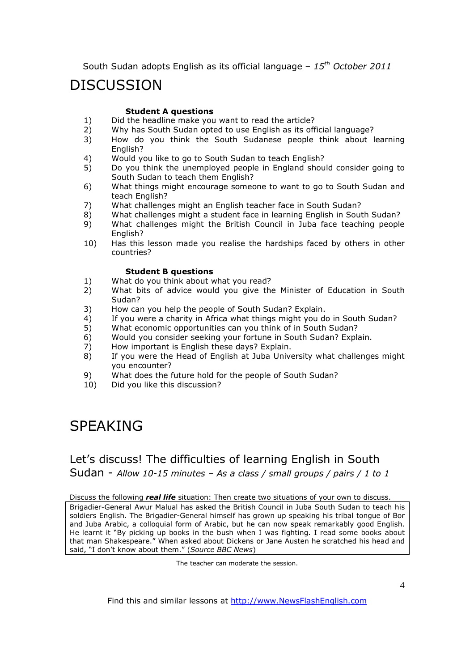# DISCUSSION

#### **Student A questions**

- 1) Did the headline make you want to read the article?<br>2) Why has South Sudan opted to use Fnglish as its off
- 2) Why has South Sudan opted to use English as its official language?
- 3) How do you think the South Sudanese people think about learning English?
- 4) Would you like to go to South Sudan to teach English?
- 5) Do you think the unemployed people in England should consider going to South Sudan to teach them English?
- 6) What things might encourage someone to want to go to South Sudan and teach English?
- 7) What challenges might an English teacher face in South Sudan?
- 8) What challenges might a student face in learning English in South Sudan?
- 9) What challenges might the British Council in Juba face teaching people English?
- 10) Has this lesson made you realise the hardships faced by others in other countries?

#### **Student B questions**

- 1) What do you think about what you read?
- 2) What bits of advice would you give the Minister of Education in South Sudan?
- 3) How can you help the people of South Sudan? Explain.
- 4) If you were a charity in Africa what things might you do in South Sudan?
- 5) What economic opportunities can you think of in South Sudan?
- 6) Would you consider seeking your fortune in South Sudan? Explain.<br>
7) How important is Fnglish these days? Explain.
- 7) How important is English these days? Explain.
- 8) If you were the Head of English at Juba University what challenges might you encounter?
- 9) What does the future hold for the people of South Sudan?
- 10) Did you like this discussion?

# SPEAKING

### Let's discuss! The difficulties of learning English in South Sudan - *Allow 10-15 minutes – As a class / small groups / pairs / 1 to 1*

Discuss the following *real life* situation: Then create two situations of your own to discuss.

Brigadier-General Awur Malual has asked the British Council in Juba South Sudan to teach his soldiers English. The Brigadier-General himself has grown up speaking his tribal tongue of Bor and Juba Arabic, a colloquial form of Arabic, but he can now speak remarkably good English. He learnt it "By picking up books in the bush when I was fighting. I read some books about that man Shakespeare." When asked about Dickens or Jane Austen he scratched his head and said, "I don't know about them." (*Source BBC News*)

The teacher can moderate the session.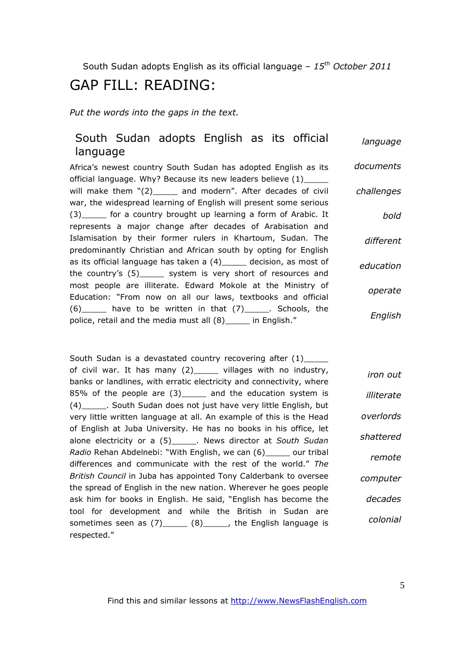# GAP FILL: READING:

*Put the words into the gaps in the text.* 

#### South Sudan adopts English as its official language *language*

Africa's newest country South Sudan has adopted English as its official language. Why? Because its new leaders believe (1)\_ will make them "(2) and modern". After decades of civil war, the widespread learning of English will present some serious (3) for a country brought up learning a form of Arabic. It represents a major change after decades of Arabisation and Islamisation by their former rulers in Khartoum, Sudan. The predominantly Christian and African south by opting for English as its official language has taken a (4)\_\_\_\_\_ decision, as most of the country's (5)\_\_\_\_\_ system is very short of resources and most people are illiterate. Edward Mokole at the Ministry of Education: "From now on all our laws, textbooks and official  $(6)$  have to be written in that  $(7)$  . Schools, the police, retail and the media must all (8)\_\_\_\_\_ in English." *documents challenges bold different education operate English*

South Sudan is a devastated country recovering after (1) of civil war. It has many (2)\_\_\_\_\_ villages with no industry, banks or landlines, with erratic electricity and connectivity, where 85% of the people are (3)\_\_\_\_\_ and the education system is (4)\_\_\_\_\_. South Sudan does not just have very little English, but very little written language at all. An example of this is the Head of English at Juba University. He has no books in his office, let alone electricity or a (5)\_\_\_\_\_. News director at *South Sudan Radio* Rehan Abdelnebi: "With English, we can (6)\_\_\_\_\_ our tribal differences and communicate with the rest of the world." *The British Council* in Juba has appointed Tony Calderbank to oversee the spread of English in the new nation. Wherever he goes people ask him for books in English. He said, "English has become the tool for development and while the British in Sudan are sometimes seen as  $(7)$ \_\_\_\_\_  $(8)$ \_\_\_\_\_, the English language is respected." *iron out illiterate overlords shattered remote computer decades colonial*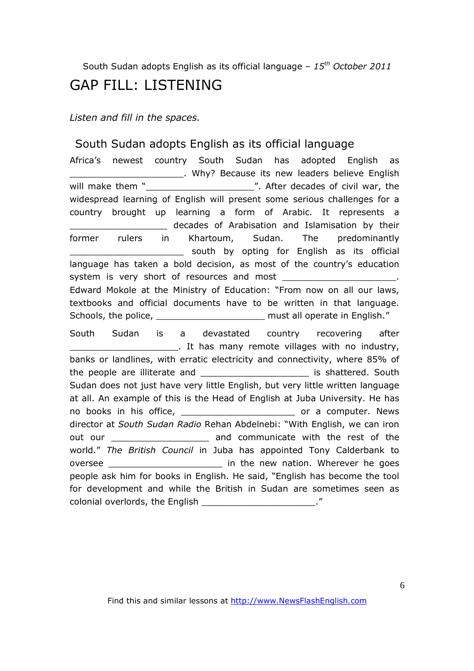## GAP FILL: LISTENING

*Listen and fill in the spaces.* 

### South Sudan adopts English as its official language

Africa's newest country South Sudan has adopted English as \_\_\_\_\_\_\_\_\_\_\_\_\_\_\_\_\_\_\_\_\_. Why? Because its new leaders believe English will make them "\_\_\_\_\_\_\_\_\_\_\_\_\_\_\_\_\_\_\_\_". After decades of civil war, the widespread learning of English will present some serious challenges for a country brought up learning a form of Arabic. It represents a \_\_\_\_\_\_\_\_\_\_\_\_\_\_\_\_\_\_ decades of Arabisation and Islamisation by their former rulers in Khartoum, Sudan. The predominantly south by opting for English as its official language has taken a bold decision, as most of the country's education system is very short of resources and most Edward Mokole at the Ministry of Education: "From now on all our laws, textbooks and official documents have to be written in that language. Schools, the police, \_\_\_\_\_\_\_\_\_\_\_\_\_\_\_\_\_\_\_\_\_\_\_\_\_\_\_ must all operate in English." South Sudan is a devastated country recovering after . It has many remote villages with no industry, banks or landlines, with erratic electricity and connectivity, where 85% of the people are illiterate and **the south** is shattered. South Sudan does not just have very little English, but very little written language at all. An example of this is the Head of English at Juba University. He has no books in his office, the same of a computer. News director at *South Sudan Radio* Rehan Abdelnebi: "With English, we can iron out our \_\_\_\_\_\_\_\_\_\_\_\_\_\_\_\_\_\_\_\_\_\_\_ and communicate with the rest of the world." *The British Council* in Juba has appointed Tony Calderbank to oversee \_\_\_\_\_\_\_\_\_\_\_\_\_\_\_\_\_\_\_\_\_ in the new nation. Wherever he goes people ask him for books in English. He said, "English has become the tool for development and while the British in Sudan are sometimes seen as colonial overlords, the English \_\_\_\_\_\_\_\_\_\_\_\_\_\_\_\_\_\_\_\_\_\_\_\_\_\_\_\_\_\_\_. "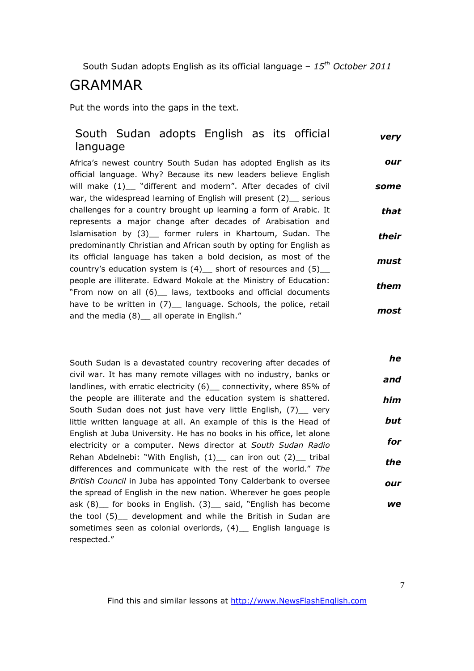## GRAMMAR

Put the words into the gaps in the text.

#### South Sudan adopts English as its official language *very*

Africa's newest country South Sudan has adopted English as its official language. Why? Because its new leaders believe English will make (1)\_ "different and modern". After decades of civil war, the widespread learning of English will present (2) serious challenges for a country brought up learning a form of Arabic. It represents a major change after decades of Arabisation and Islamisation by (3) former rulers in Khartoum, Sudan. The predominantly Christian and African south by opting for English as its official language has taken a bold decision, as most of the country's education system is  $(4)$  short of resources and  $(5)$ people are illiterate. Edward Mokole at the Ministry of Education: "From now on all (6)\_\_ laws, textbooks and official documents have to be written in (7) language. Schools, the police, retail and the media (8) all operate in English." *our some that their must them most*

South Sudan is a devastated country recovering after decades of civil war. It has many remote villages with no industry, banks or landlines, with erratic electricity (6) connectivity, where 85% of the people are illiterate and the education system is shattered. South Sudan does not just have very little English, (7) very little written language at all. An example of this is the Head of English at Juba University. He has no books in his office, let alone electricity or a computer. News director at *South Sudan Radio* Rehan Abdelnebi: "With English, (1) can iron out (2) tribal differences and communicate with the rest of the world." *The British Council* in Juba has appointed Tony Calderbank to oversee the spread of English in the new nation. Wherever he goes people ask (8) for books in English. (3) said, "English has become the tool (5) development and while the British in Sudan are sometimes seen as colonial overlords, (4) English language is respected." *he and him but for the our we*